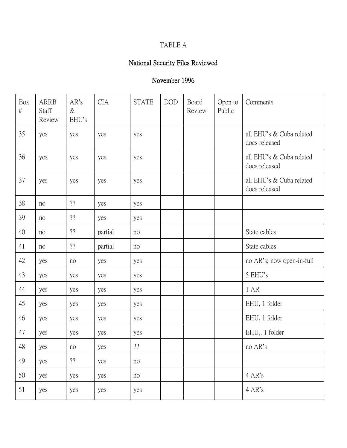### TABLE A

# National Security Files Reviewed

| Box<br>$\#$ | <b>ARRB</b><br>Staff<br>Review | AR's<br>$\&$<br>EHU's | <b>CIA</b> | <b>STATE</b>           | $\rm{DOD}$ | Board<br>Review | Open to<br>Public | Comments                                  |
|-------------|--------------------------------|-----------------------|------------|------------------------|------------|-----------------|-------------------|-------------------------------------------|
| 35          | yes                            | yes                   | yes        | yes                    |            |                 |                   | all EHU's & Cuba related<br>docs released |
| 36          | yes                            | yes                   | yes        | yes                    |            |                 |                   | all EHU's & Cuba related<br>docs released |
| 37          | yes                            | yes                   | yes        | yes                    |            |                 |                   | all EHU's & Cuba related<br>docs released |
| 38          | no                             | ??                    | yes        | yes                    |            |                 |                   |                                           |
| 39          | no                             | ??                    | yes        | yes                    |            |                 |                   |                                           |
| 40          | no                             | ??                    | partial    | no                     |            |                 |                   | State cables                              |
| 41          | no                             | ??                    | partial    | no                     |            |                 |                   | State cables                              |
| 42          | yes                            | no                    | yes        | yes                    |            |                 |                   | no AR's; now open-in-full                 |
| 43          | yes                            | yes                   | yes        | yes                    |            |                 |                   | 5 EHU's                                   |
| 44          | yes                            | yes                   | yes        | yes                    |            |                 |                   | 1 AR                                      |
| 45          | yes                            | yes                   | yes        | yes                    |            |                 |                   | EHU, 1 folder                             |
| 46          | yes                            | yes                   | yes        | yes                    |            |                 |                   | EHU, 1 folder                             |
| 47          | yes                            | yes                   | yes        | yes                    |            |                 |                   | EHU, 1 folder                             |
| 48          | yes                            | no                    | yes        | $\mathbf{?}\mathbf{?}$ |            |                 |                   | no AR's                                   |
| 49          | yes                            | ??                    | yes        | no                     |            |                 |                   |                                           |
| 50          | yes                            | yes                   | yes        | no                     |            |                 |                   | 4 AR's                                    |
| 51          | yes                            | yes                   | yes        | yes                    |            |                 |                   | 4 AR's                                    |
|             |                                |                       |            |                        |            |                 |                   |                                           |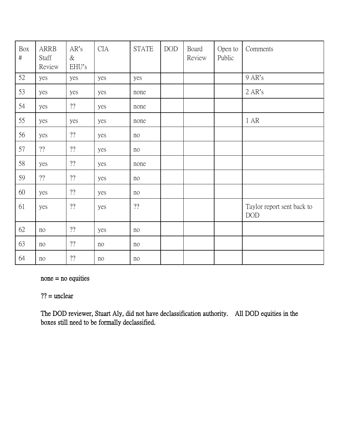| Box<br>$\#$ | <b>ARRB</b><br>Staff<br>Review | AR's<br>$\&$<br>EHU's  | <b>CIA</b> | <b>STATE</b> | $\rm{DOD}$ | Board<br>Review | Open to<br>Public | Comments                                 |
|-------------|--------------------------------|------------------------|------------|--------------|------------|-----------------|-------------------|------------------------------------------|
| 52          | yes                            | yes                    | yes        | yes          |            |                 |                   | 9 AR's                                   |
| 53          | yes                            | yes                    | yes        | none         |            |                 |                   | 2 AR's                                   |
| 54          | yes                            | ??                     | yes        | none         |            |                 |                   |                                          |
| 55          | yes                            | yes                    | yes        | none         |            |                 |                   | 1 AR                                     |
| 56          | yes                            | ??                     | yes        | no           |            |                 |                   |                                          |
| 57          | ??                             | ??                     | yes        | no           |            |                 |                   |                                          |
| 58          | yes                            | ??                     | yes        | none         |            |                 |                   |                                          |
| 59          | ??                             | ??                     | yes        | no           |            |                 |                   |                                          |
| 60          | yes                            | 22                     | yes        | no           |            |                 |                   |                                          |
| 61          | yes                            | $\mathbf{?}\mathbf{?}$ | yes        | $? ?$        |            |                 |                   | Taylor report sent back to<br><b>DOD</b> |
| 62          | $\rm no$                       | ??                     | yes        | no           |            |                 |                   |                                          |
| 63          | no                             | ??                     | no         | no           |            |                 |                   |                                          |
| 64          | no                             | $? ?$                  | $\rm no$   | no           |            |                 |                   |                                          |

none = no equities

 $?? =$  unclear

The DOD reviewer, Stuart Aly, did not have declassification authority. All DOD equities in the boxes still need to be formally declassified.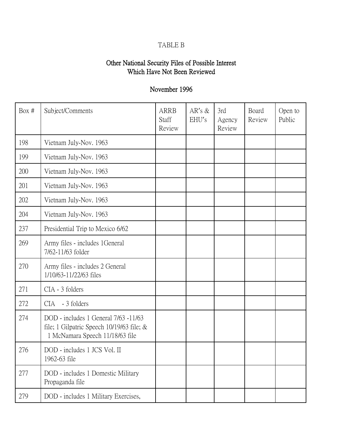### TABLE B

### Other National Security Files of Possible Interest Which Have Not Been Reviewed

| Box # | Subject/Comments                                                                                                          | <b>ARRB</b><br>Staff<br>Review | $AR's \&$<br>EHU's | 3rd<br>Agency<br>Review | Board<br>Review | Open to<br>Public |
|-------|---------------------------------------------------------------------------------------------------------------------------|--------------------------------|--------------------|-------------------------|-----------------|-------------------|
| 198   | Vietnam July-Nov. 1963                                                                                                    |                                |                    |                         |                 |                   |
| 199   | Vietnam July-Nov. 1963                                                                                                    |                                |                    |                         |                 |                   |
| 200   | Vietnam July-Nov. 1963                                                                                                    |                                |                    |                         |                 |                   |
| 201   | Vietnam July-Nov. 1963                                                                                                    |                                |                    |                         |                 |                   |
| 202   | Vietnam July-Nov. 1963                                                                                                    |                                |                    |                         |                 |                   |
| 204   | Vietnam July-Nov. 1963                                                                                                    |                                |                    |                         |                 |                   |
| 237   | Presidential Trip to Mexico 6/62                                                                                          |                                |                    |                         |                 |                   |
| 269   | Army files - includes 1General<br>7/62-11/63 folder                                                                       |                                |                    |                         |                 |                   |
| 270   | Army files - includes 2 General<br>1/10/63-11/22/63 files                                                                 |                                |                    |                         |                 |                   |
| 271   | CIA - 3 folders                                                                                                           |                                |                    |                         |                 |                   |
| 272   | - 3 folders<br>CIA                                                                                                        |                                |                    |                         |                 |                   |
| 274   | DOD - includes 1 General 7/63 -11/63<br>file; 1 Gilpatric Speech $10/19/63$ file; $\&$<br>1 McNamara Speech 11/18/63 file |                                |                    |                         |                 |                   |
| 276   | DOD - includes 1 JCS Vol. II<br>1962-63 file                                                                              |                                |                    |                         |                 |                   |
| 277   | DOD - includes 1 Domestic Military<br>Propaganda file                                                                     |                                |                    |                         |                 |                   |
| 279   | DOD - includes 1 Military Exercises,                                                                                      |                                |                    |                         |                 |                   |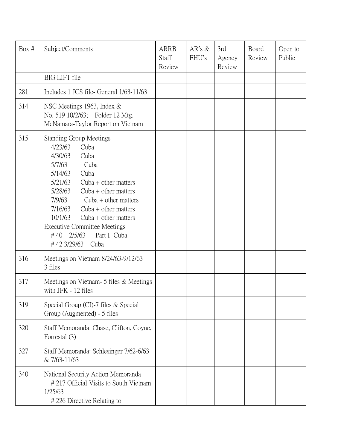| Box # | Subject/Comments                                                                                                                                                                                                                                                                                                                                                                                | <b>ARRB</b><br><b>Staff</b><br>Review | AR's $\&$<br>EHU's | 3rd<br>Agency<br>Review | Board<br>Review | Open to<br>Public |
|-------|-------------------------------------------------------------------------------------------------------------------------------------------------------------------------------------------------------------------------------------------------------------------------------------------------------------------------------------------------------------------------------------------------|---------------------------------------|--------------------|-------------------------|-----------------|-------------------|
|       | <b>BIG LIFT</b> file                                                                                                                                                                                                                                                                                                                                                                            |                                       |                    |                         |                 |                   |
| 281   | Includes 1 JCS file- General 1/63-11/63                                                                                                                                                                                                                                                                                                                                                         |                                       |                    |                         |                 |                   |
| 314   | NSC Meetings 1963, Index &<br>No. 519 10/2/63; Folder 12 Mtg.<br>McNamara-Taylor Report on Vietnam                                                                                                                                                                                                                                                                                              |                                       |                    |                         |                 |                   |
| 315   | <b>Standing Group Meetings</b><br>4/23/63<br>Cuba<br>4/30/63<br>Cuba<br>5/7/63<br>Cuba<br>5/14/63<br>Cuba<br>5/21/63<br>Cuba $+$ other matters<br>5/28/63<br>Cuba $+$ other matters<br>7/9/63<br>Cuba $+$ other matters<br>7/16/63<br>Cuba $+$ other matters<br>10/1/63<br>Cuba $+$ other matters<br><b>Executive Committee Meetings</b><br>Part I -Cuba<br>$#40$ 2/5/63<br>#42 3/29/63<br>Cuba |                                       |                    |                         |                 |                   |
| 316   | Meetings on Vietnam 8/24/63-9/12/63<br>3 files                                                                                                                                                                                                                                                                                                                                                  |                                       |                    |                         |                 |                   |
| 317   | Meetings on Vietnam - 5 files & Meetings<br>with JFK - 12 files                                                                                                                                                                                                                                                                                                                                 |                                       |                    |                         |                 |                   |
| 319   | Special Group (CI)-7 files & Special<br>Group (Augmented) - 5 files                                                                                                                                                                                                                                                                                                                             |                                       |                    |                         |                 |                   |
| 320   | Staff Memoranda: Chase, Clifton, Coyne,<br>Forrestal (3)                                                                                                                                                                                                                                                                                                                                        |                                       |                    |                         |                 |                   |
| 327   | Staff Memoranda: Schlesinger 7/62-6/63<br>& 7/63-11/63                                                                                                                                                                                                                                                                                                                                          |                                       |                    |                         |                 |                   |
| 340   | National Security Action Memoranda<br>#217 Official Visits to South Vietnam<br>1/25/63<br>#226 Directive Relating to                                                                                                                                                                                                                                                                            |                                       |                    |                         |                 |                   |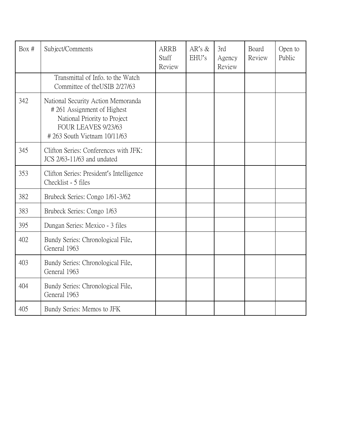| Box # | Subject/Comments                                                                                                                                       | <b>ARRB</b><br>Staff<br>Review | $AR's \&$<br>EHU's | 3rd<br>Agency<br>Review | Board<br>Review | Open to<br>Public |
|-------|--------------------------------------------------------------------------------------------------------------------------------------------------------|--------------------------------|--------------------|-------------------------|-----------------|-------------------|
|       | Transmittal of Info, to the Watch<br>Committee of the USIB 2/27/63                                                                                     |                                |                    |                         |                 |                   |
| 342   | National Security Action Memoranda<br>#261 Assignment of Highest<br>National Priority to Project<br>FOUR LEAVES 9/23/63<br>#263 South Vietnam 10/11/63 |                                |                    |                         |                 |                   |
| 345   | Clifton Series: Conferences with JFK:<br>JCS 2/63-11/63 and undated                                                                                    |                                |                    |                         |                 |                   |
| 353   | Clifton Series: President's Intelligence<br>Checklist - 5 files                                                                                        |                                |                    |                         |                 |                   |
| 382   | Brubeck Series: Congo 1/61-3/62                                                                                                                        |                                |                    |                         |                 |                   |
| 383   | Brubeck Series: Congo 1/63                                                                                                                             |                                |                    |                         |                 |                   |
| 395   | Dungan Series: Mexico - 3 files                                                                                                                        |                                |                    |                         |                 |                   |
| 402   | Bundy Series: Chronological File,<br>General 1963                                                                                                      |                                |                    |                         |                 |                   |
| 403   | Bundy Series: Chronological File,<br>General 1963                                                                                                      |                                |                    |                         |                 |                   |
| 404   | Bundy Series: Chronological File,<br>General 1963                                                                                                      |                                |                    |                         |                 |                   |
| 405   | Bundy Series: Memos to JFK                                                                                                                             |                                |                    |                         |                 |                   |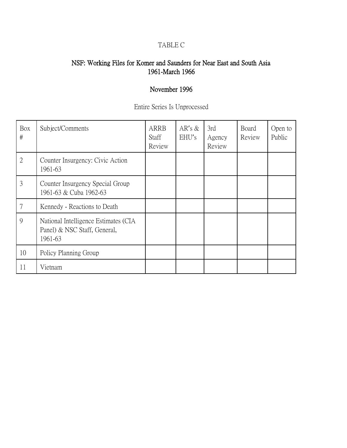# TABLE C

#### NSF: Working Files for Komer and Saunders for Near East and South Asia 1961-March 1966

| Entire Series Is Unprocessed |  |
|------------------------------|--|
|------------------------------|--|

| Box<br>#       | Subject/Comments                                                                | <b>ARRB</b><br><b>Staff</b><br>Review | $AR's \&$<br>EHU's | 3rd<br>Agency<br>Review | Board<br>Review | Open to<br>Public |
|----------------|---------------------------------------------------------------------------------|---------------------------------------|--------------------|-------------------------|-----------------|-------------------|
| $\overline{2}$ | Counter Insurgency: Civic Action<br>1961-63                                     |                                       |                    |                         |                 |                   |
| 3              | Counter Insurgency Special Group<br>1961-63 & Cuba 1962-63                      |                                       |                    |                         |                 |                   |
| 7              | Kennedy - Reactions to Death                                                    |                                       |                    |                         |                 |                   |
| 9              | National Intelligence Estimates (CIA<br>Panel) & NSC Staff, General,<br>1961-63 |                                       |                    |                         |                 |                   |
| 10             | Policy Planning Group                                                           |                                       |                    |                         |                 |                   |
| 11             | Vietnam                                                                         |                                       |                    |                         |                 |                   |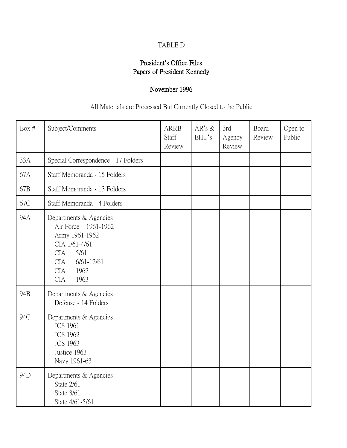# TABLE D

### President**'**s Office Files Papers of President Kennedy

# November 1996

All Materials are Processed But Currently Closed to the Public

| Box $#$ | Subject/Comments                                                                                                                                                                   | <b>ARRB</b><br>Staff<br>Review | AR's $&$<br>EHU's | 3rd<br>Agency<br>Review | Board<br>Review | Open to<br>Public |
|---------|------------------------------------------------------------------------------------------------------------------------------------------------------------------------------------|--------------------------------|-------------------|-------------------------|-----------------|-------------------|
| 33A     | Special Correspondence - 17 Folders                                                                                                                                                |                                |                   |                         |                 |                   |
| 67A     | Staff Memoranda - 15 Folders                                                                                                                                                       |                                |                   |                         |                 |                   |
| 67B     | Staff Memoranda - 13 Folders                                                                                                                                                       |                                |                   |                         |                 |                   |
| 67C     | Staff Memoranda - 4 Folders                                                                                                                                                        |                                |                   |                         |                 |                   |
| 94A     | Departments & Agencies<br>Air Force 1961-1962<br>Army 1961-1962<br>CIA 1/61-4/61<br>5/61<br><b>CIA</b><br><b>CIA</b><br>$6/61 - 12/61$<br><b>CIA</b><br>1962<br>1963<br><b>CIA</b> |                                |                   |                         |                 |                   |
| 94B     | Departments & Agencies<br>Defense - 14 Folders                                                                                                                                     |                                |                   |                         |                 |                   |
| 94C     | Departments & Agencies<br><b>JCS 1961</b><br><b>JCS 1962</b><br><b>JCS 1963</b><br>Justice 1963<br>Navy 1961-63                                                                    |                                |                   |                         |                 |                   |
| 94D     | Departments & Agencies<br>State 2/61<br>State 3/61<br>State 4/61-5/61                                                                                                              |                                |                   |                         |                 |                   |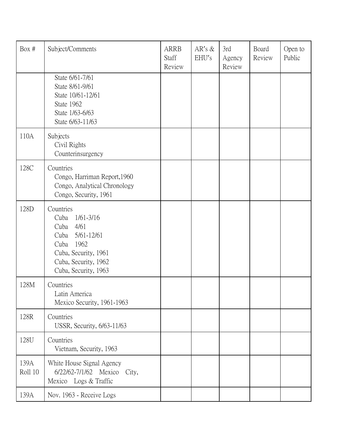| Box #           | Subject/Comments                                                                                                                                                 | <b>ARRB</b><br>Staff<br>Review | AR's $\&$<br>EHU's | 3rd<br>Agency<br>Review | Board<br>Review | Open to<br>Public |
|-----------------|------------------------------------------------------------------------------------------------------------------------------------------------------------------|--------------------------------|--------------------|-------------------------|-----------------|-------------------|
|                 | State 6/61-7/61<br>State 8/61-9/61<br>State 10/61-12/61<br>State 1962<br>State 1/63-6/63<br>State 6/63-11/63                                                     |                                |                    |                         |                 |                   |
| 110A            | Subjects<br>Civil Rights<br>Counterinsurgency                                                                                                                    |                                |                    |                         |                 |                   |
| 128C            | Countries<br>Congo, Harriman Report, 1960<br>Congo, Analytical Chronology<br>Congo, Security, 1961                                                               |                                |                    |                         |                 |                   |
| 128D            | Countries<br>$1/61 - 3/16$<br>Cuba<br>4/61<br>Cuba<br>5/61-12/61<br>Cuba<br>1962<br>Cuba<br>Cuba, Security, 1961<br>Cuba, Security, 1962<br>Cuba, Security, 1963 |                                |                    |                         |                 |                   |
| 128M            | Countries<br>Latin America<br>Mexico Security, 1961-1963                                                                                                         |                                |                    |                         |                 |                   |
| 128R            | Countries<br>USSR, Security, 6/63-11/63                                                                                                                          |                                |                    |                         |                 |                   |
| 128U            | Countries<br>Vietnam, Security, 1963                                                                                                                             |                                |                    |                         |                 |                   |
| 139A<br>Roll 10 | White House Signal Agency<br>6/22/62-7/1/62 Mexico<br>City,<br>Mexico Logs & Traffic                                                                             |                                |                    |                         |                 |                   |
| 139A            | Nov. 1963 - Receive Logs                                                                                                                                         |                                |                    |                         |                 |                   |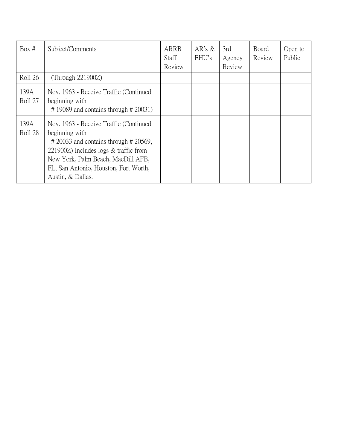| Box #           | Subject/Comments                                                                                                                                                                                                                                         | ARRB<br><b>Staff</b><br>Review | AR's $\&$<br>EHU's | 3rd<br>Agency<br>Review | <b>Board</b><br>Review | Open to<br>Public |
|-----------------|----------------------------------------------------------------------------------------------------------------------------------------------------------------------------------------------------------------------------------------------------------|--------------------------------|--------------------|-------------------------|------------------------|-------------------|
| Roll 26         | (Through $221900Z$ )                                                                                                                                                                                                                                     |                                |                    |                         |                        |                   |
| 139A<br>Roll 27 | Nov. 1963 - Receive Traffic (Continued<br>beginning with<br>$\#$ 19089 and contains through $\#$ 20031)                                                                                                                                                  |                                |                    |                         |                        |                   |
| 139A<br>Roll 28 | Nov. 1963 - Receive Traffic (Continued<br>beginning with<br>$\#$ 20033 and contains through $\#$ 20569,<br>221900Z) Includes $\log s$ & traffic from<br>New York, Palm Beach, MacDill AFB,<br>FL, San Antonio, Houston, Fort Worth,<br>Austin, & Dallas. |                                |                    |                         |                        |                   |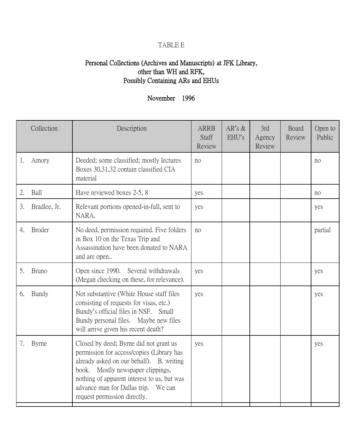### TABLE E

### Personal Collections (Archives and Manuscripts) at JFK Library, other than WH and RFK, Possibly Containing ARs and EHUs

|    | Collection    | Description                                                                                                                                                                                                                                                                                | <b>ARRB</b><br>Staff<br>Review | $AR's \&$<br>EHU's | 3rd<br>Agency<br>Review | Board<br>Review | Open to<br>Public |
|----|---------------|--------------------------------------------------------------------------------------------------------------------------------------------------------------------------------------------------------------------------------------------------------------------------------------------|--------------------------------|--------------------|-------------------------|-----------------|-------------------|
| 1. | Amory         | Deeded; some classified; mostly lectures<br>Boxes 30,31,32 contain classified CIA<br>material                                                                                                                                                                                              | no                             |                    |                         |                 | no                |
| 2. | Ball          | Have reviewed boxes 2-5, 8                                                                                                                                                                                                                                                                 | yes                            |                    |                         |                 | no                |
| 3. | Bradlee, Jr.  | Relevant portions opened-in-full, sent to<br>NARA.                                                                                                                                                                                                                                         | yes                            |                    |                         |                 | yes               |
| 4. | <b>Broder</b> | No deed, permission required. Five folders<br>in Box 10 on the Texas Trip and<br>Assassination have been donated to NARA<br>and are open                                                                                                                                                   | no                             |                    |                         |                 | partial           |
| 5. | <b>Bruno</b>  | Open since 1990.<br>Several withdrawals<br>(Megan checking on these, for relevance).                                                                                                                                                                                                       | yes                            |                    |                         |                 | yes               |
| 6. | Bundy         | Not substantive (White House staff files<br>consisting of requests for visas, etc.)<br>Bundy's official files in NSF. Small<br>Bundy personal files. Maybe new files<br>will arrive given his recent death?                                                                                | yes                            |                    |                         |                 | yes               |
| 7. | Byrne         | Closed by deed; Byrne did not grant us<br>permission for access/copies (Library has<br>already asked on our behalf). B. writing<br>book. Mostly newspaper clippings,<br>nothing of apparent interest to us, but was<br>advance man for Dallas trip. We can<br>request permission directly. | yes                            |                    |                         |                 | yes               |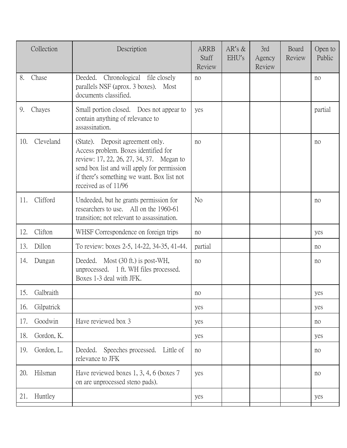|     | Collection | Description                                                                                                                                                                                                                               | <b>ARRB</b><br>Staff<br>Review | $AR's \&$<br>EHU's | 3rd<br>Agency<br>Review | Board<br>Review | Open to<br>Public |
|-----|------------|-------------------------------------------------------------------------------------------------------------------------------------------------------------------------------------------------------------------------------------------|--------------------------------|--------------------|-------------------------|-----------------|-------------------|
| 8.  | Chase      | Chronological file closely<br>Deeded.<br>parallels NSF (aprox. 3 boxes). Most<br>documents classified.                                                                                                                                    | no                             |                    |                         |                 | no                |
| 9.  | Chayes     | Small portion closed. Does not appear to<br>contain anything of relevance to<br>assassination.                                                                                                                                            | yes                            |                    |                         |                 | partial           |
| 10. | Cleveland  | (State). Deposit agreement only.<br>Access problem. Boxes identified for<br>review: 17, 22, 26, 27, 34, 37. Megan to<br>send box list and will apply for permission<br>if there's something we want. Box list not<br>received as of 11/96 | no                             |                    |                         |                 | no                |
| 11. | Clifford   | Undeeded, but he grants permission for<br>researchers to use. All on the 1960-61<br>transition; not relevant to assassination.                                                                                                            | N <sub>o</sub>                 |                    |                         |                 | no                |
| 12. | Clifton    | WHSF Correspondence on foreign trips                                                                                                                                                                                                      | no                             |                    |                         |                 | yes               |
| 13. | Dillon     | To review: boxes 2-5, 14-22, 34-35, 41-44.                                                                                                                                                                                                | partial                        |                    |                         |                 | no                |
| 14. | Dungan     | Deeded. Most (30 ft.) is post-WH,<br>unprocessed. 1 ft. WH files processed.<br>Boxes 1-3 deal with JFK.                                                                                                                                   | no                             |                    |                         |                 | no                |
| 15. | Galbraith  |                                                                                                                                                                                                                                           | no                             |                    |                         |                 | yes               |
| 16. | Gilpatrick |                                                                                                                                                                                                                                           | yes                            |                    |                         |                 | yes               |
| 17. | Goodwin    | Have reviewed box 3                                                                                                                                                                                                                       | yes                            |                    |                         |                 | no                |
| 18. | Gordon, K. |                                                                                                                                                                                                                                           | yes                            |                    |                         |                 | yes               |
| 19. | Gordon, L. | Speeches processed.<br>Deeded.<br>Little of<br>relevance to JFK                                                                                                                                                                           | no                             |                    |                         |                 | no                |
| 20. | Hilsman    | Have reviewed boxes 1, 3, 4, 6 (boxes 7<br>on are unprocessed steno pads).                                                                                                                                                                | yes                            |                    |                         |                 | no                |
| 21. | Huntley    |                                                                                                                                                                                                                                           | yes                            |                    |                         |                 | yes               |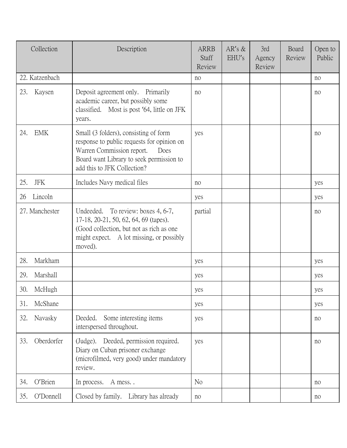| Collection        | Description                                                                                                                                                                                         | <b>ARRB</b><br>Staff<br>Review | $AR's \&$<br>EHU's | 3rd<br>Agency<br>Review | Board<br>Review | Open to<br>Public |
|-------------------|-----------------------------------------------------------------------------------------------------------------------------------------------------------------------------------------------------|--------------------------------|--------------------|-------------------------|-----------------|-------------------|
| 22. Katzenbach    |                                                                                                                                                                                                     | no                             |                    |                         |                 | no                |
| 23.<br>Kaysen     | Deposit agreement only. Primarily<br>academic career, but possibly some<br>classified. Most is post '64, little on JFK<br>years.                                                                    | no                             |                    |                         |                 | no                |
| <b>EMK</b><br>24. | Small (3 folders), consisting of form<br>response to public requests for opinion on<br>Warren Commission report.<br>Does<br>Board want Library to seek permission to<br>add this to JFK Collection? | yes                            |                    |                         |                 | no                |
| 25.<br><b>JFK</b> | Includes Navy medical files                                                                                                                                                                         | no                             |                    |                         |                 | yes               |
| Lincoln<br>26     |                                                                                                                                                                                                     | yes                            |                    |                         |                 | yes               |
| 27. Manchester    | Undeeded. To review: boxes 4, 6-7,<br>17-18, 20-21, 50, 62, 64, 69 (tapes).<br>(Good collection, but not as rich as one)<br>might expect. A lot missing, or possibly<br>moved).                     | partial                        |                    |                         |                 | no                |
| 28.<br>Markham    |                                                                                                                                                                                                     | yes                            |                    |                         |                 | yes               |
| 29.<br>Marshall   |                                                                                                                                                                                                     | yes                            |                    |                         |                 | yes               |
| 30.<br>McHugh     |                                                                                                                                                                                                     | yes                            |                    |                         |                 | yes               |
| 31.<br>McShane    |                                                                                                                                                                                                     | yes                            |                    |                         |                 | yes               |
| 32.<br>Navasky    | Deeded.<br>Some interesting items<br>interspersed throughout.                                                                                                                                       | yes                            |                    |                         |                 | no                |
| 33.<br>Oberdorfer | (Judge). Deeded, permission required.<br>Diary on Cuban prisoner exchange<br>(microfilmed, very good) under mandatory<br>review.                                                                    | yes                            |                    |                         |                 | no                |
| O'Brien<br>34.    | In process.<br>A mess                                                                                                                                                                               | N <sub>o</sub>                 |                    |                         |                 | no                |
| O'Donnell<br>35.  | Closed by family. Library has already                                                                                                                                                               | no                             |                    |                         |                 | no                |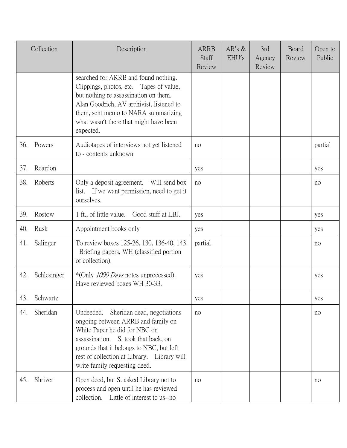|     | Collection  | Description                                                                                                                                                                                                                                                                         | <b>ARRB</b><br>Staff<br>Review | $AR's \&$<br>EHU's | 3rd<br>Agency<br>Review | Board<br>Review | Open to<br>Public |
|-----|-------------|-------------------------------------------------------------------------------------------------------------------------------------------------------------------------------------------------------------------------------------------------------------------------------------|--------------------------------|--------------------|-------------------------|-----------------|-------------------|
|     |             | searched for ARRB and found nothing.<br>Clippings, photos, etc. Tapes of value,<br>but nothing re assassination on them.<br>Alan Goodrich, AV archivist, listened to<br>them, sent memo to NARA summarizing<br>what wasn't there that might have been<br>expected.                  |                                |                    |                         |                 |                   |
| 36. | Powers      | Audiotapes of interviews not yet listened<br>to - contents unknown                                                                                                                                                                                                                  | no                             |                    |                         |                 | partial           |
| 37. | Reardon     |                                                                                                                                                                                                                                                                                     | yes                            |                    |                         |                 | yes               |
| 38. | Roberts     | Only a deposit agreement.<br>Will send box<br>list. If we want permission, need to get it<br>ourselves.                                                                                                                                                                             | no                             |                    |                         |                 | no                |
| 39. | Rostow      | 1 ft., of little value. Good stuff at LBJ.                                                                                                                                                                                                                                          | yes                            |                    |                         |                 | yes               |
| 40. | Rusk        | Appointment books only                                                                                                                                                                                                                                                              | yes                            |                    |                         |                 | yes               |
| 41. | Salinger    | To review boxes 125-26, 130, 136-40, 143.<br>Briefing papers, WH (classified portion<br>of collection).                                                                                                                                                                             | partial                        |                    |                         |                 | no                |
| 42. | Schlesinger | *(Only 1000 Days notes unprocessed).<br>Have reviewed boxes WH 30-33.                                                                                                                                                                                                               | yes                            |                    |                         |                 | yes               |
| 43. | Schwartz    |                                                                                                                                                                                                                                                                                     | yes                            |                    |                         |                 | yes               |
| 44. | Sheridan    | Undeeded.<br>Sheridan dead, negotiations<br>ongoing between ARRB and family on<br>White Paper he did for NBC on<br>assassination. S. took that back, on<br>grounds that it belongs to NBC, but left<br>rest of collection at Library. Library will<br>write family requesting deed. | no                             |                    |                         |                 | no                |
| 45. | Shriver     | Open deed, but S. asked Library not to<br>process and open until he has reviewed<br>collection. Little of interest to us--no                                                                                                                                                        | no                             |                    |                         |                 | no                |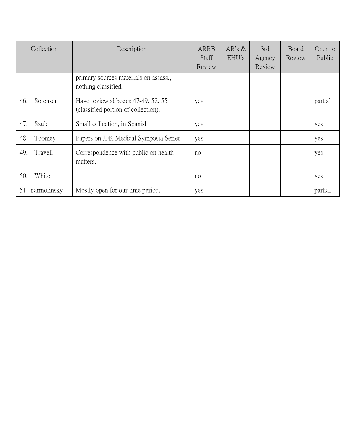| Collection      | Description                                                              | <b>ARRB</b><br><b>Staff</b><br>Review | $AR's \&$<br>EHU's | 3rd<br>Agency<br>Review | Board<br>Review | Open to<br>Public |
|-----------------|--------------------------------------------------------------------------|---------------------------------------|--------------------|-------------------------|-----------------|-------------------|
|                 | primary sources materials on assass.,<br>nothing classified.             |                                       |                    |                         |                 |                   |
| Sorensen<br>46. | Have reviewed boxes 47-49, 52, 55<br>(classified portion of collection). | yes                                   |                    |                         |                 | partial           |
| Szulc<br>47.    | Small collection, in Spanish                                             | yes                                   |                    |                         |                 | yes               |
| 48.<br>Toomey   | Papers on JFK Medical Symposia Series                                    | yes                                   |                    |                         |                 | yes               |
| 49.<br>Travell  | Correspondence with public on health<br>matters.                         | no                                    |                    |                         |                 | yes               |
| White<br>50.    |                                                                          | no                                    |                    |                         |                 | yes               |
| 51. Yarmolinsky | Mostly open for our time period.                                         | yes                                   |                    |                         |                 | partial           |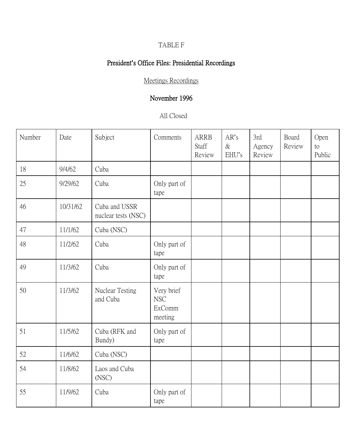# TABLE F

# President**'**s Office Files: Presidential Recordings

Meetings Recordings

# November 1996

#### All Closed

| Number | Date     | Subject                              | Comments                                      | <b>ARRB</b><br>Staff<br>Review | AR's<br>$\&$<br>EHU's | 3rd<br>Agency<br>Review | Board<br>Review | Open<br>to<br>Public |
|--------|----------|--------------------------------------|-----------------------------------------------|--------------------------------|-----------------------|-------------------------|-----------------|----------------------|
| 18     | 9/4/62   | Cuba                                 |                                               |                                |                       |                         |                 |                      |
| 25     | 9/29/62  | Cuba                                 | Only part of<br>tape                          |                                |                       |                         |                 |                      |
| 46     | 10/31/62 | Cuba and USSR<br>nuclear tests (NSC) |                                               |                                |                       |                         |                 |                      |
| 47     | 11/1/62  | Cuba (NSC)                           |                                               |                                |                       |                         |                 |                      |
| 48     | 11/2/62  | Cuba                                 | Only part of<br>tape                          |                                |                       |                         |                 |                      |
| 49     | 11/3/62  | Cuba                                 | Only part of<br>tape                          |                                |                       |                         |                 |                      |
| 50     | 11/3/62  | Nuclear Testing<br>and Cuba          | Very brief<br><b>NSC</b><br>ExComm<br>meeting |                                |                       |                         |                 |                      |
| 51     | 11/5/62  | Cuba (RFK and<br>Bundy)              | Only part of<br>tape                          |                                |                       |                         |                 |                      |
| 52     | 11/6/62  | Cuba (NSC)                           |                                               |                                |                       |                         |                 |                      |
| 54     | 11/8/62  | Laos and Cuba<br>(NSC)               |                                               |                                |                       |                         |                 |                      |
| 55     | 11/9/62  | Cuba                                 | Only part of<br>tape                          |                                |                       |                         |                 |                      |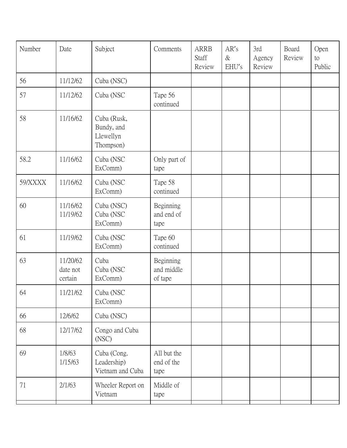| Number  | Date                            | Subject                                             | Comments                           | <b>ARRB</b><br>Staff<br>Review | AR's<br>$\&$<br>EHU's | 3rd<br>Agency<br>Review | Board<br>Review | Open<br>to<br>Public |
|---------|---------------------------------|-----------------------------------------------------|------------------------------------|--------------------------------|-----------------------|-------------------------|-----------------|----------------------|
| 56      | 11/12/62                        | Cuba (NSC)                                          |                                    |                                |                       |                         |                 |                      |
| 57      | 11/12/62                        | Cuba (NSC                                           | Tape 56<br>continued               |                                |                       |                         |                 |                      |
| 58      | 11/16/62                        | Cuba (Rusk,<br>Bundy, and<br>Llewellyn<br>Thompson) |                                    |                                |                       |                         |                 |                      |
| 58.2    | 11/16/62                        | Cuba (NSC<br>ExComm)                                | Only part of<br>tape               |                                |                       |                         |                 |                      |
| 59/XXXX | 11/16/62                        | Cuba (NSC<br>ExComm)                                | Tape 58<br>continued               |                                |                       |                         |                 |                      |
| 60      | 11/16/62<br>11/19/62            | Cuba (NSC)<br>Cuba (NSC<br>ExComm)                  | Beginning<br>and end of<br>tape    |                                |                       |                         |                 |                      |
| 61      | 11/19/62                        | Cuba (NSC<br>ExComm)                                | Tape 60<br>continued               |                                |                       |                         |                 |                      |
| 63      | 11/20/62<br>date not<br>certain | Cuba<br>Cuba (NSC<br>ExComm)                        | Beginning<br>and middle<br>of tape |                                |                       |                         |                 |                      |
| 64      | 11/21/62                        | Cuba (NSC<br>ExComm)                                |                                    |                                |                       |                         |                 |                      |
| 66      | 12/6/62                         | Cuba (NSC)                                          |                                    |                                |                       |                         |                 |                      |
| 68      | 12/17/62                        | Congo and Cuba<br>(NSC)                             |                                    |                                |                       |                         |                 |                      |
| 69      | 1/8/63<br>1/15/63               | Cuba (Cong.<br>Leadership)<br>Vietnam and Cuba      | All but the<br>end of the<br>tape  |                                |                       |                         |                 |                      |
| 71      | 2/1/63                          | Wheeler Report on<br>Vietnam                        | Middle of<br>tape                  |                                |                       |                         |                 |                      |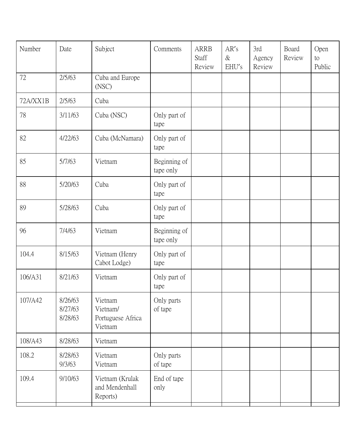| Number   | Date                          | Subject                                             | Comments                  | <b>ARRB</b><br>Staff<br>Review | AR's<br>$\&$<br>EHU's | 3rd<br>Agency<br>Review | Board<br>Review | Open<br>to<br>Public |
|----------|-------------------------------|-----------------------------------------------------|---------------------------|--------------------------------|-----------------------|-------------------------|-----------------|----------------------|
| 72       | 2/5/63                        | Cuba and Europe<br>(NSC)                            |                           |                                |                       |                         |                 |                      |
| 72A/XX1B | 2/5/63                        | Cuba                                                |                           |                                |                       |                         |                 |                      |
| 78       | 3/11/63                       | Cuba (NSC)                                          | Only part of<br>tape      |                                |                       |                         |                 |                      |
| 82       | 4/22/63                       | Cuba (McNamara)                                     | Only part of<br>tape      |                                |                       |                         |                 |                      |
| 85       | 5/7/63                        | Vietnam                                             | Beginning of<br>tape only |                                |                       |                         |                 |                      |
| 88       | 5/20/63                       | Cuba                                                | Only part of<br>tape      |                                |                       |                         |                 |                      |
| 89       | 5/28/63                       | Cuba                                                | Only part of<br>tape      |                                |                       |                         |                 |                      |
| 96       | 7/4/63                        | Vietnam                                             | Beginning of<br>tape only |                                |                       |                         |                 |                      |
| 104.4    | 8/15/63                       | Vietnam (Henry<br>Cabot Lodge)                      | Only part of<br>tape      |                                |                       |                         |                 |                      |
| 106/A31  | 8/21/63                       | Vietnam                                             | Only part of<br>tape      |                                |                       |                         |                 |                      |
| 107/A42  | 8/26/63<br>8/27/63<br>8/28/63 | Vietnam<br>Vietnam/<br>Portuguese Africa<br>Vietnam | Only parts<br>of tape     |                                |                       |                         |                 |                      |
| 108/A43  | 8/28/63                       | Vietnam                                             |                           |                                |                       |                         |                 |                      |
| 108.2    | 8/28/63<br>9/3/63             | Vietnam<br>Vietnam                                  | Only parts<br>of tape     |                                |                       |                         |                 |                      |
| 109.4    | 9/10/63                       | Vietnam (Krulak<br>and Mendenhall<br>Reports)       | End of tape<br>only       |                                |                       |                         |                 |                      |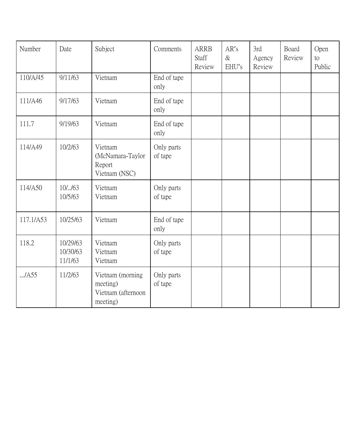| Number    | Date                            | Subject                                                        | Comments              | <b>ARRB</b><br>Staff<br>Review | AR's<br>$\&$<br>EHU's | 3rd<br>Agency<br>Review | Board<br>Review | Open<br>to<br>Public |
|-----------|---------------------------------|----------------------------------------------------------------|-----------------------|--------------------------------|-----------------------|-------------------------|-----------------|----------------------|
| 110/A/45  | 9/11/63                         | Vietnam                                                        | End of tape<br>only   |                                |                       |                         |                 |                      |
| 111/A46   | 9/17/63                         | Vietnam                                                        | End of tape<br>only   |                                |                       |                         |                 |                      |
| 111.7     | 9/19/63                         | Vietnam                                                        | End of tape<br>only   |                                |                       |                         |                 |                      |
| 114/A49   | 10/2/63                         | Vietnam<br>(McNamara-Taylor<br>Report<br>Vietnam (NSC)         | Only parts<br>of tape |                                |                       |                         |                 |                      |
| 114/A50   | 10/.163<br>10/5/63              | Vietnam<br>Vietnam                                             | Only parts<br>of tape |                                |                       |                         |                 |                      |
| 117.1/A53 | 10/25/63                        | Vietnam                                                        | End of tape<br>only   |                                |                       |                         |                 |                      |
| 118.2     | 10/29/63<br>10/30/63<br>11/1/63 | Vietnam<br>Vietnam<br>Vietnam                                  | Only parts<br>of tape |                                |                       |                         |                 |                      |
| /A55      | 11/2/63                         | Vietnam (morning<br>meeting)<br>Vietnam (afternoon<br>meeting) | Only parts<br>of tape |                                |                       |                         |                 |                      |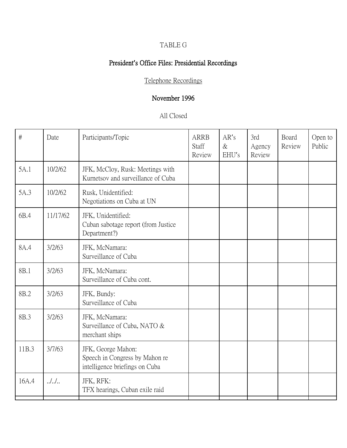# TABLE G

# President**'**s Office Files: Presidential Recordings

Telephone Recordings

# November 1996

#### All Closed

| $\#$  | Date     | Participants/Topic                                                                     | <b>ARRB</b><br>Staff<br>Review | AR's<br>$\&$<br>EHU's | 3rd<br>Agency<br>Review | Board<br>Review | Open to<br>Public |
|-------|----------|----------------------------------------------------------------------------------------|--------------------------------|-----------------------|-------------------------|-----------------|-------------------|
| 5A.1  | 10/2/62  | JFK, McCloy, Rusk: Meetings with<br>Kurnetsov and surveillance of Cuba                 |                                |                       |                         |                 |                   |
| 5A.3  | 10/2/62  | Rusk, Unidentified:<br>Negotiations on Cuba at UN                                      |                                |                       |                         |                 |                   |
| 6B.4  | 11/17/62 | JFK, Unidentified:<br>Cuban sabotage report (from Justice<br>Department?)              |                                |                       |                         |                 |                   |
| 8A.4  | 3/2/63   | JFK, McNamara:<br>Surveillance of Cuba                                                 |                                |                       |                         |                 |                   |
| 8B.1  | 3/2/63   | JFK, McNamara:<br>Surveillance of Cuba cont.                                           |                                |                       |                         |                 |                   |
| 8B.2  | 3/2/63   | JFK, Bundy:<br>Surveillance of Cuba                                                    |                                |                       |                         |                 |                   |
| 8B.3  | 3/2/63   | JFK, McNamara:<br>Surveillance of Cuba, NATO &<br>merchant ships                       |                                |                       |                         |                 |                   |
| 11B.3 | 3/7/63   | JFK, George Mahon:<br>Speech in Congress by Mahon re<br>intelligence briefings on Cuba |                                |                       |                         |                 |                   |
| 16A.4 | $.$ /    | JFK, RFK:<br>TFX hearings, Cuban exile raid                                            |                                |                       |                         |                 |                   |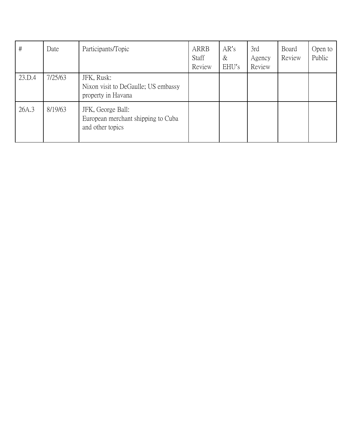| $\#$   | Date    | Participants/Topic                                                          | ARRB<br>Staff<br>Review | AR's<br>$\&$<br>EHU's | 3rd<br>Agency<br>Review | Board<br>Review | Open to<br>Public |
|--------|---------|-----------------------------------------------------------------------------|-------------------------|-----------------------|-------------------------|-----------------|-------------------|
| 23.D.4 | 7/25/63 | JFK, Rusk:<br>Nixon visit to DeGaulle; US embassy<br>property in Havana     |                         |                       |                         |                 |                   |
| 26A.3  | 8/19/63 | JFK, George Ball:<br>European merchant shipping to Cuba<br>and other topics |                         |                       |                         |                 |                   |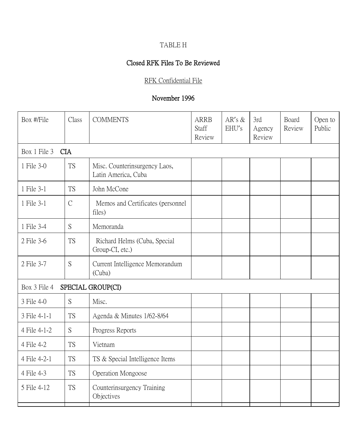### TABLE H

### Closed RFK Files To Be Reviewed

#### RFK Confidential File

| Box #/File   | Class         | <b>COMMENTS</b>                                      | <b>ARRB</b><br>Staff<br>Review | $AR's \&$<br>EHU's | 3rd<br>Agency<br>Review | Board<br>Review | Open to<br>Public |
|--------------|---------------|------------------------------------------------------|--------------------------------|--------------------|-------------------------|-----------------|-------------------|
| Box 1 File 3 | <b>CIA</b>    |                                                      |                                |                    |                         |                 |                   |
| 1 File 3-0   | <b>TS</b>     | Misc. Counterinsurgency Laos,<br>Latin America, Cuba |                                |                    |                         |                 |                   |
| 1 File 3-1   | <b>TS</b>     | John McCone                                          |                                |                    |                         |                 |                   |
| 1 File 3-1   | $\mathcal{C}$ | Memos and Certificates (personnel<br>files)          |                                |                    |                         |                 |                   |
| 1 File 3-4   | S             | Memoranda                                            |                                |                    |                         |                 |                   |
| 2 File 3-6   | <b>TS</b>     | Richard Helms (Cuba, Special<br>Group-CI, etc.)      |                                |                    |                         |                 |                   |
| 2 File 3-7   | S             | Current Intelligence Memorandum<br>(Cuba)            |                                |                    |                         |                 |                   |
| Box 3 File 4 |               | SPECIAL GROUP(CI)                                    |                                |                    |                         |                 |                   |
| 3 File 4-0   | S             | Misc.                                                |                                |                    |                         |                 |                   |
| 3 File 4-1-1 | <b>TS</b>     | Agenda & Minutes 1/62-8/64                           |                                |                    |                         |                 |                   |
| 4 File 4-1-2 | S             | Progress Reports                                     |                                |                    |                         |                 |                   |
| 4 File 4-2   | <b>TS</b>     | Vietnam                                              |                                |                    |                         |                 |                   |
| 4 File 4-2-1 | <b>TS</b>     | TS & Special Intelligence Items                      |                                |                    |                         |                 |                   |
| 4 File 4-3   | <b>TS</b>     | Operation Mongoose                                   |                                |                    |                         |                 |                   |
| 5 File 4-12  | <b>TS</b>     | Counterinsurgency Training<br>Objectives             |                                |                    |                         |                 |                   |
|              |               |                                                      |                                |                    |                         |                 |                   |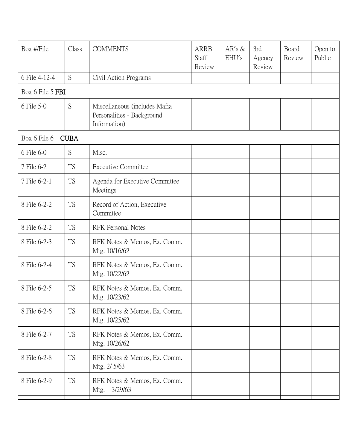| Box #/File       | Class       | <b>COMMENTS</b>                                                             | <b>ARRB</b><br>Staff<br>Review | $AR's \&$<br>EHU's | 3rd<br>Agency<br>Review | Board<br>Review | Open to<br>Public |
|------------------|-------------|-----------------------------------------------------------------------------|--------------------------------|--------------------|-------------------------|-----------------|-------------------|
| 6 File 4-12-4    | S           | Civil Action Programs                                                       |                                |                    |                         |                 |                   |
| Box 6 File 5 FBI |             |                                                                             |                                |                    |                         |                 |                   |
| 6 File 5-0       | S           | Miscellaneous (includes Mafia<br>Personalities - Background<br>Information) |                                |                    |                         |                 |                   |
| Box 6 File 6     | <b>CUBA</b> |                                                                             |                                |                    |                         |                 |                   |
| 6 File 6-0       | S           | Misc.                                                                       |                                |                    |                         |                 |                   |
| 7 File 6-2       | <b>TS</b>   | <b>Executive Committee</b>                                                  |                                |                    |                         |                 |                   |
| 7 File 6-2-1     | <b>TS</b>   | Agenda for Executive Committee<br>Meetings                                  |                                |                    |                         |                 |                   |
| 8 File 6-2-2     | <b>TS</b>   | Record of Action, Executive<br>Committee                                    |                                |                    |                         |                 |                   |
| 8 File 6-2-2     | <b>TS</b>   | <b>RFK Personal Notes</b>                                                   |                                |                    |                         |                 |                   |
| 8 File 6-2-3     | <b>TS</b>   | RFK Notes & Memos, Ex. Comm.<br>Mtg. 10/16/62                               |                                |                    |                         |                 |                   |
| 8 File 6-2-4     | <b>TS</b>   | RFK Notes & Memos, Ex. Comm.<br>Mtg. 10/22/62                               |                                |                    |                         |                 |                   |
| 8 File 6-2-5     | <b>TS</b>   | RFK Notes & Memos, Ex. Comm.<br>Mtg. 10/23/62                               |                                |                    |                         |                 |                   |
| 8 File 6-2-6     | TS          | RFK Notes & Memos, Ex. Comm.<br>Mtg. 10/25/62                               |                                |                    |                         |                 |                   |
| 8 File 6-2-7     | <b>TS</b>   | RFK Notes & Memos, Ex. Comm.<br>Mtg. 10/26/62                               |                                |                    |                         |                 |                   |
| 8 File 6-2-8     | <b>TS</b>   | RFK Notes & Memos, Ex. Comm.<br>Mtg. 2/5/63                                 |                                |                    |                         |                 |                   |
| 8 File 6-2-9     | <b>TS</b>   | RFK Notes & Memos, Ex. Comm.<br>3/29/63<br>Mtg.                             |                                |                    |                         |                 |                   |
|                  |             |                                                                             |                                |                    |                         |                 |                   |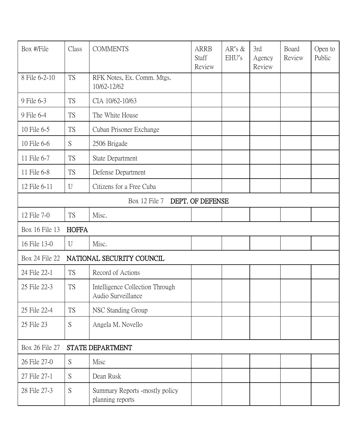| Box #/File     | Class        | <b>COMMENTS</b>                                       | <b>ARRB</b><br>Staff<br>Review | $AR's \&$<br>EHU's | 3rd<br>Agency<br>Review | Board<br>Review | Open to<br>Public |
|----------------|--------------|-------------------------------------------------------|--------------------------------|--------------------|-------------------------|-----------------|-------------------|
| 8 File 6-2-10  | <b>TS</b>    | RFK Notes, Ex. Comm. Mtgs.<br>10/62-12/62             |                                |                    |                         |                 |                   |
| 9 File 6-3     | <b>TS</b>    | CIA 10/62-10/63                                       |                                |                    |                         |                 |                   |
| 9 File 6-4     | <b>TS</b>    | The White House                                       |                                |                    |                         |                 |                   |
| 10 File 6-5    | <b>TS</b>    | Cuban Prisoner Exchange                               |                                |                    |                         |                 |                   |
| 10 File 6-6    | S            | 2506 Brigade                                          |                                |                    |                         |                 |                   |
| 11 File 6-7    | <b>TS</b>    | State Department                                      |                                |                    |                         |                 |                   |
| 11 File 6-8    | <b>TS</b>    | Defense Department                                    |                                |                    |                         |                 |                   |
| 12 File 6-11   | U            | Citizens for a Free Cuba                              |                                |                    |                         |                 |                   |
|                |              | Box 12 File 7                                         | DEPT. OF DEFENSE               |                    |                         |                 |                   |
| 12 File 7-0    | <b>TS</b>    | Misc.                                                 |                                |                    |                         |                 |                   |
| Box 16 File 13 | <b>HOFFA</b> |                                                       |                                |                    |                         |                 |                   |
| 16 File 13-0   | U            | Misc.                                                 |                                |                    |                         |                 |                   |
| Box 24 File 22 |              | NATIONAL SECURITY COUNCIL                             |                                |                    |                         |                 |                   |
| 24 File 22-1   | <b>TS</b>    | Record of Actions                                     |                                |                    |                         |                 |                   |
| 25 File 22-3   | <b>TS</b>    | Intelligence Collection Through<br>Audio Surveillance |                                |                    |                         |                 |                   |
| 25 File 22-4   | <b>TS</b>    | NSC Standing Group                                    |                                |                    |                         |                 |                   |
| 25 File 23     | S            | Angela M. Novello                                     |                                |                    |                         |                 |                   |
| Box 26 File 27 |              | STATE DEPARTMENT                                      |                                |                    |                         |                 |                   |
| 26 File 27-0   | S            | Misc                                                  |                                |                    |                         |                 |                   |
| 27 File 27-1   | S            | Dean Rusk                                             |                                |                    |                         |                 |                   |
| 28 File 27-3   | S            | Summary Reports -mostly policy<br>planning reports    |                                |                    |                         |                 |                   |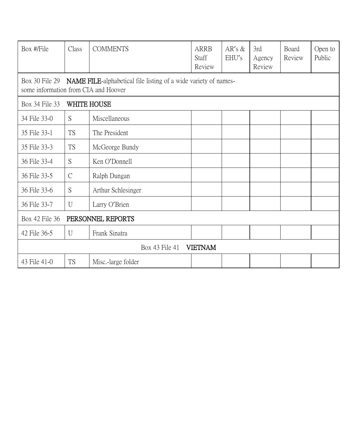| Box #/File                                                                                                                       | Class          | <b>COMMENTS</b>    | <b>ARRB</b><br>Staff<br>Review | AR's $&$<br>EHU's | 3rd<br>Agency<br>Review | Board<br>Review | Open to<br>Public |  |  |
|----------------------------------------------------------------------------------------------------------------------------------|----------------|--------------------|--------------------------------|-------------------|-------------------------|-----------------|-------------------|--|--|
| <b>NAME FILE-alphabetical file listing of a wide variety of names-</b><br>Box 30 File 29<br>some information from CIA and Hoover |                |                    |                                |                   |                         |                 |                   |  |  |
| WHITE HOUSE<br>Box 34 File 33                                                                                                    |                |                    |                                |                   |                         |                 |                   |  |  |
| 34 File 33-0                                                                                                                     | S              | Miscellaneous      |                                |                   |                         |                 |                   |  |  |
| 35 File 33-1                                                                                                                     | <b>TS</b>      | The President      |                                |                   |                         |                 |                   |  |  |
| 35 File 33-3                                                                                                                     | <b>TS</b>      | McGeorge Bundy     |                                |                   |                         |                 |                   |  |  |
| 36 File 33-4                                                                                                                     | S              | Ken O'Donnell      |                                |                   |                         |                 |                   |  |  |
| 36 File 33-5                                                                                                                     | $\mathcal{C}$  | Ralph Dungan       |                                |                   |                         |                 |                   |  |  |
| 36 File 33-6                                                                                                                     | S              | Arthur Schlesinger |                                |                   |                         |                 |                   |  |  |
| 36 File 33-7                                                                                                                     | $\overline{U}$ | Larry O'Brien      |                                |                   |                         |                 |                   |  |  |
| Box 42 File 36<br>PERSONNEL REPORTS                                                                                              |                |                    |                                |                   |                         |                 |                   |  |  |
| 42 File 36-5                                                                                                                     | U              | Frank Sinatra      |                                |                   |                         |                 |                   |  |  |
| Box 43 File 41<br><b>VIETNAM</b>                                                                                                 |                |                    |                                |                   |                         |                 |                   |  |  |
| 43 File 41-0                                                                                                                     | <b>TS</b>      | Misc.-large folder |                                |                   |                         |                 |                   |  |  |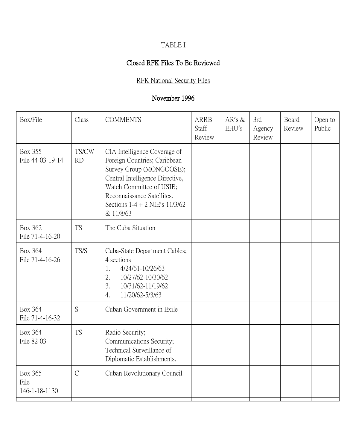# TABLE I

# Closed RFK Files To Be Reviewed

#### RFK National Security Files

| Box/File                                | Class              | <b>COMMENTS</b>                                                                                                                                                                                                                          | <b>ARRB</b><br>Staff<br>Review | $AR's \&$<br>EHU's | 3rd<br>Agency<br>Review | Board<br>Review | Open to<br>Public |
|-----------------------------------------|--------------------|------------------------------------------------------------------------------------------------------------------------------------------------------------------------------------------------------------------------------------------|--------------------------------|--------------------|-------------------------|-----------------|-------------------|
| <b>Box 355</b><br>File 44-03-19-14      | TS/CW<br><b>RD</b> | CIA Intelligence Coverage of<br>Foreign Countries; Caribbean<br>Survey Group (MONGOOSE);<br>Central Intelligence Directive,<br>Watch Committee of USIB;<br>Reconnaissance Satellites.<br>Sections $1-4 + 2$ NIE's $11/3/62$<br>& 11/8/63 |                                |                    |                         |                 |                   |
| Box 362<br>File 71-4-16-20              | <b>TS</b>          | The Cuba Situation                                                                                                                                                                                                                       |                                |                    |                         |                 |                   |
| Box 364<br>File 71-4-16-26              | TS/S               | Cuba-State Department Cables;<br>4 sections<br>4/24/61-10/26/63<br>1.<br>2.<br>10/27/62-10/30/62<br>3.<br>10/31/62-11/19/62<br>11/20/62-5/3/63<br>4.                                                                                     |                                |                    |                         |                 |                   |
| Box 364<br>File 71-4-16-32              | S                  | Cuban Government in Exile                                                                                                                                                                                                                |                                |                    |                         |                 |                   |
| Box 364<br>File 82-03                   | <b>TS</b>          | Radio Security;<br>Communications Security;<br>Technical Surveillance of<br>Diplomatic Establishments.                                                                                                                                   |                                |                    |                         |                 |                   |
| <b>Box 365</b><br>File<br>146-1-18-1130 | $\overline{C}$     | Cuban Revolutionary Council                                                                                                                                                                                                              |                                |                    |                         |                 |                   |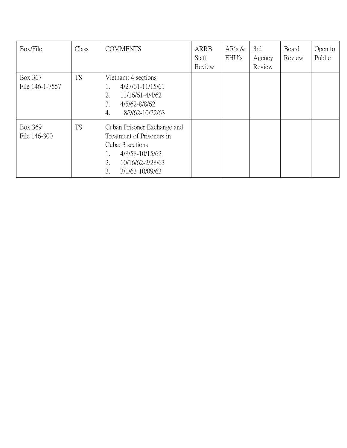| Box/File                   | Class     | <b>COMMENTS</b>                                                                                                                                          | ARRB<br>Staff<br>Review | AR's $&$<br>EHU's | 3rd<br>Agency<br>Review | Board<br>Review | Open to<br>Public |
|----------------------------|-----------|----------------------------------------------------------------------------------------------------------------------------------------------------------|-------------------------|-------------------|-------------------------|-----------------|-------------------|
| Box 367<br>File 146-1-7557 | <b>TS</b> | Vietnam: 4 sections<br>4/27/61-11/15/61<br>ī.<br>11/16/61-4/4/62<br>2.<br>3.<br>4/5/62-8/8/62<br>8/9/62-10/22/63<br>4.                                   |                         |                   |                         |                 |                   |
| Box 369<br>File 146-300    | <b>TS</b> | Cuban Prisoner Exchange and<br>Treatment of Prisoners in<br>Cuba: 3 sections<br>4/8/58-10/15/62<br>1.<br>2.<br>10/16/62-2/28/63<br>3.<br>3/1/63-10/09/63 |                         |                   |                         |                 |                   |